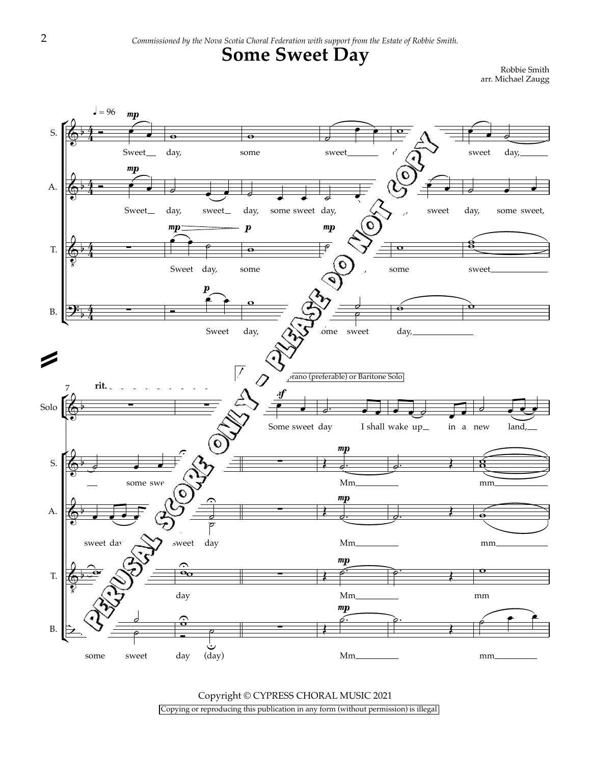## Some Sweet Day

Robbie Smith arr. Michael Zaugg



Copyright © CYPRESS CHORAL MUSIC 2021 Copying or reproducing this publication in any form (without permission) is illegal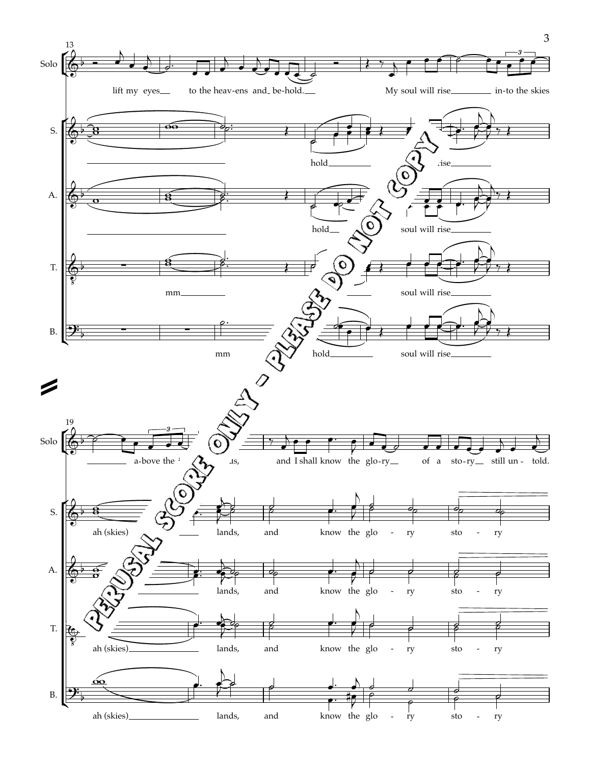

3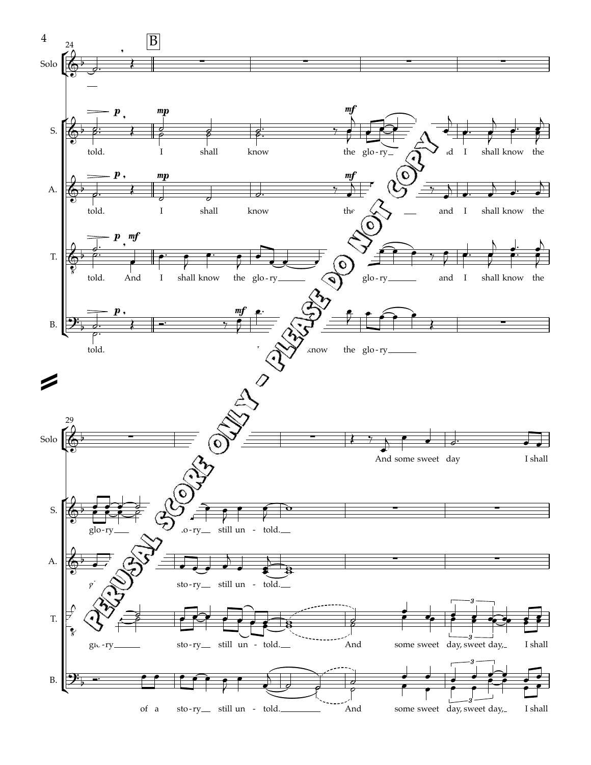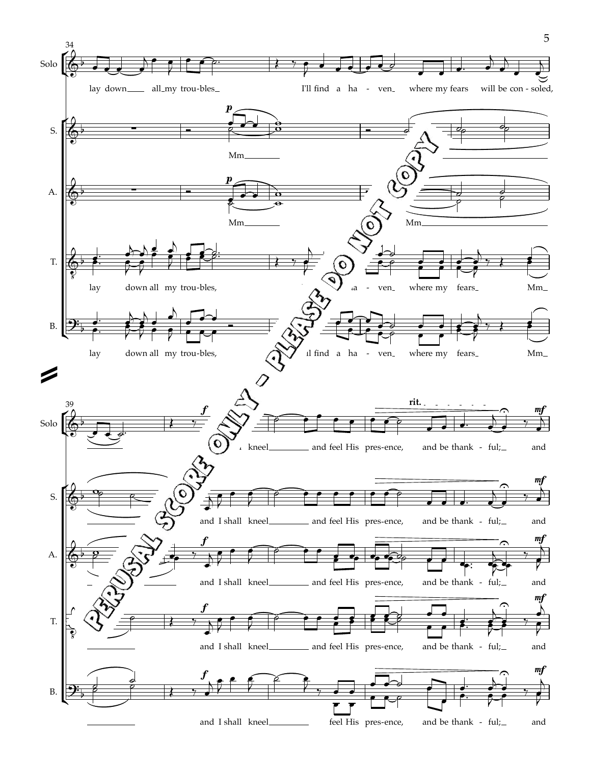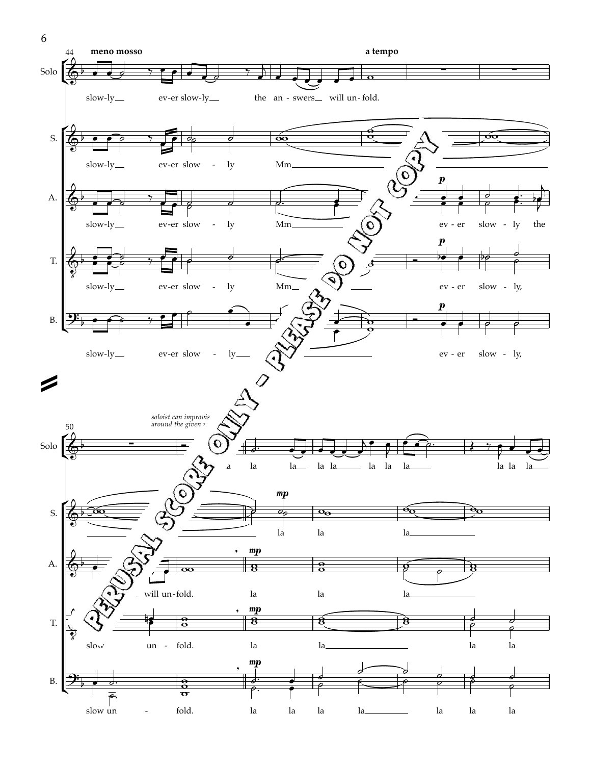

6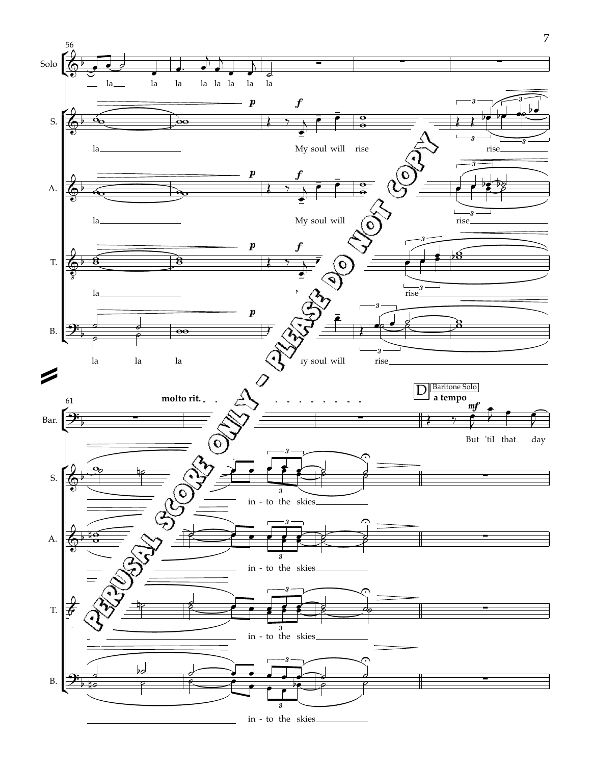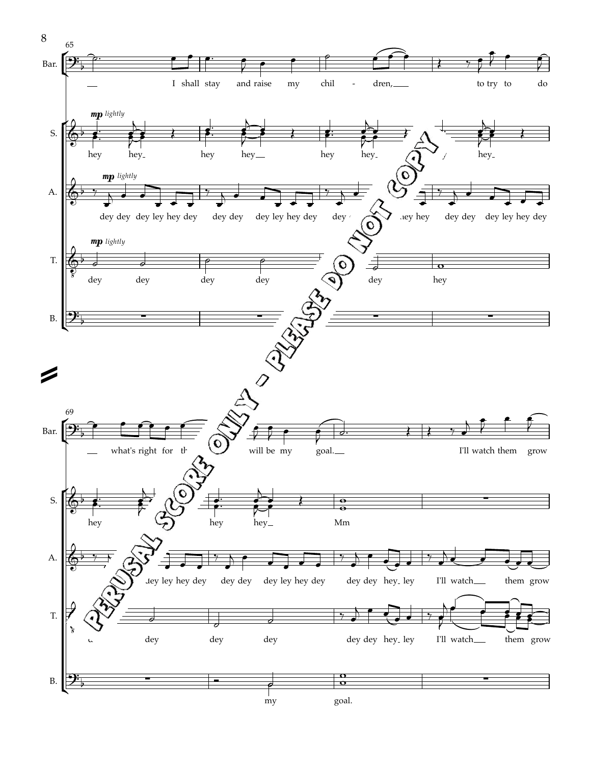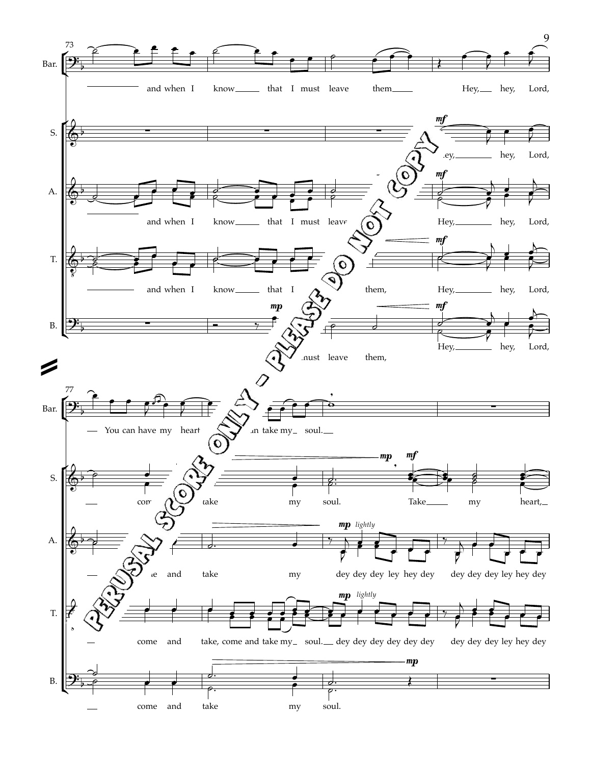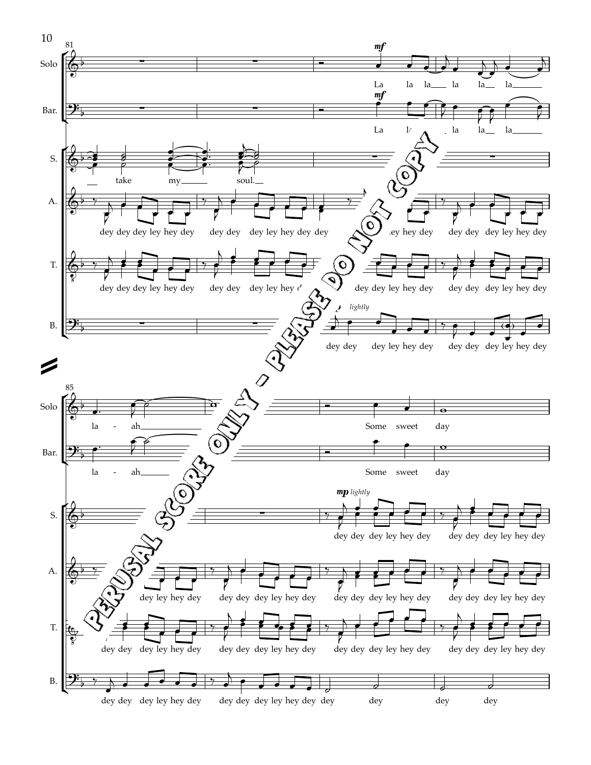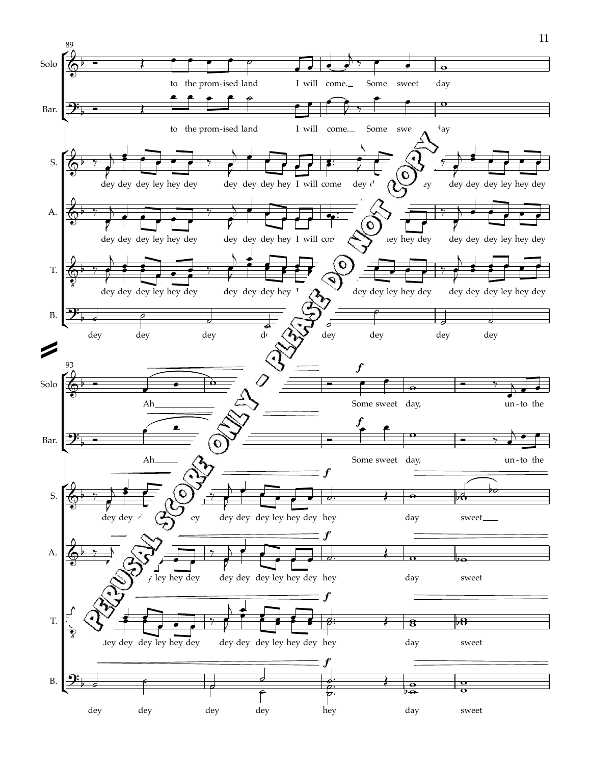